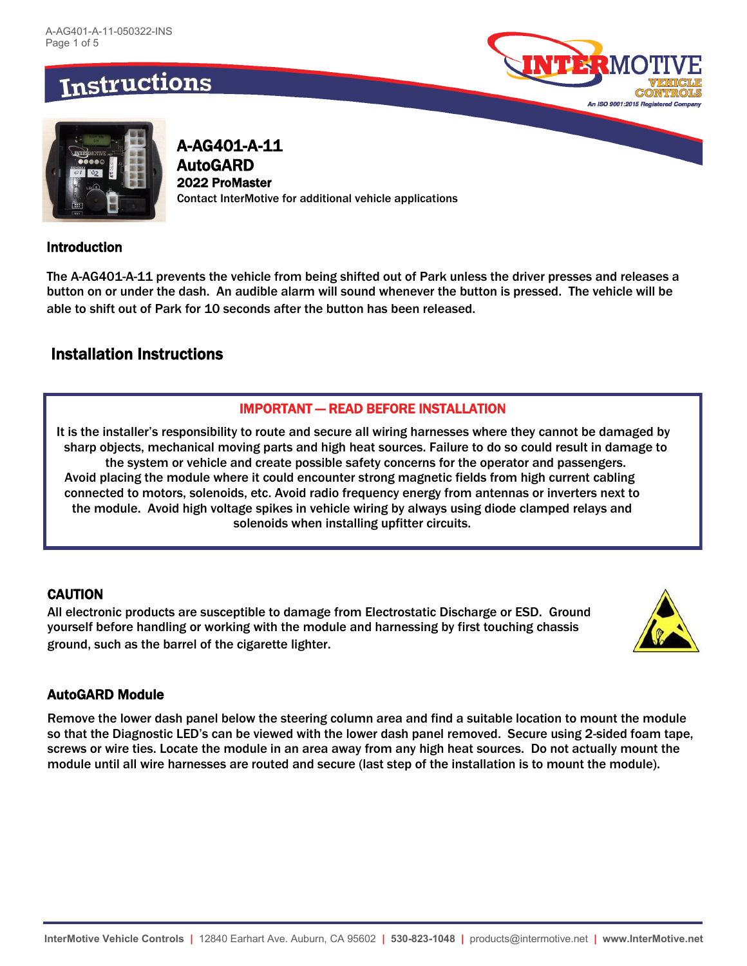



A-AG401-A-11 AutoGARD 2022 ProMaster Contact InterMotive for additional vehicle applications

### Introduction

The A-AG401-A-11 prevents the vehicle from being shifted out of Park unless the driver presses and releases a button on or under the dash. An audible alarm will sound whenever the button is pressed. The vehicle will be able to shift out of Park for 10 seconds after the button has been released.

# Installation Instructions

#### IMPORTANT — READ BEFORE INSTALLATION

It is the installer's responsibility to route and secure all wiring harnesses where they cannot be damaged by sharp objects, mechanical moving parts and high heat sources. Failure to do so could result in damage to the system or vehicle and create possible safety concerns for the operator and passengers. Avoid placing the module where it could encounter strong magnetic fields from high current cabling connected to motors, solenoids, etc. Avoid radio frequency energy from antennas or inverters next to the module. Avoid high voltage spikes in vehicle wiring by always using diode clamped relays and solenoids when installing upfitter circuits.

### **CAUTION**

All electronic products are susceptible to damage from Electrostatic Discharge or ESD. Ground yourself before handling or working with the module and harnessing by first touching chassis ground, such as the barrel of the cigarette lighter.



### AutoGARD Module

Remove the lower dash panel below the steering column area and find a suitable location to mount the module so that the Diagnostic LED's can be viewed with the lower dash panel removed. Secure using 2-sided foam tape, screws or wire ties. Locate the module in an area away from any high heat sources. Do not actually mount the module until all wire harnesses are routed and secure (last step of the installation is to mount the module).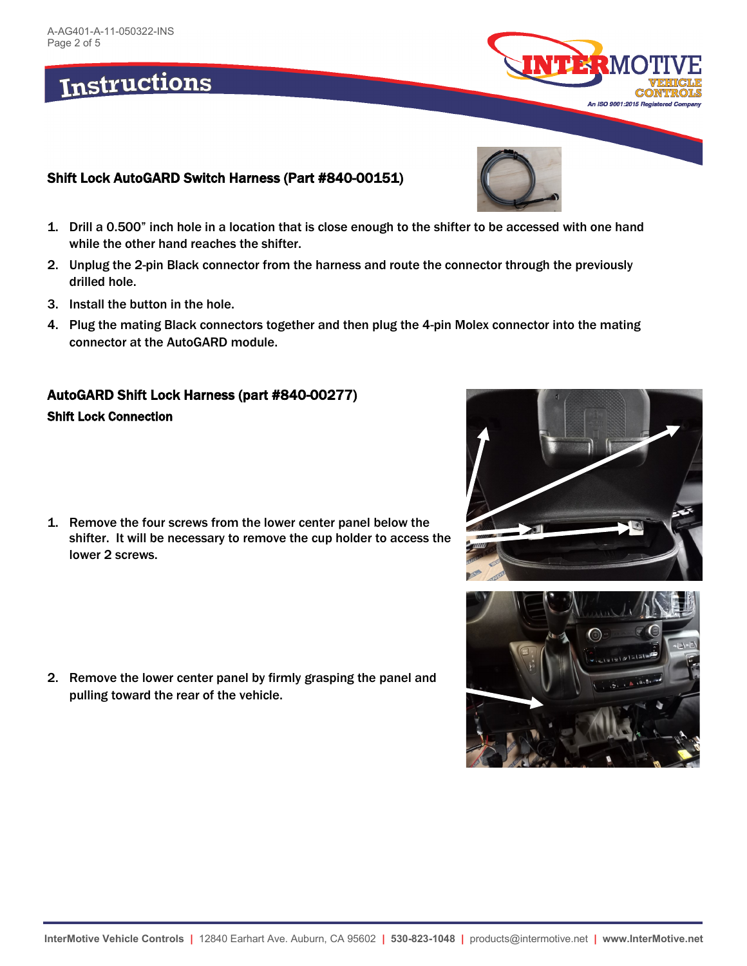# Shift Lock AutoGARD Switch Harness (Part #840-00151)

- 1. Drill a 0.500" inch hole in a location that is close enough to the shifter to be accessed with one hand while the other hand reaches the shifter.
- 2. Unplug the 2-pin Black connector from the harness and route the connector through the previously drilled hole.
- 3. Install the button in the hole.
- 4. Plug the mating Black connectors together and then plug the 4-pin Molex connector into the mating connector at the AutoGARD module.

# AutoGARD Shift Lock Harness (part #840-00277)

## Shift Lock Connection

1. Remove the four screws from the lower center panel below the shifter. It will be necessary to remove the cup holder to access the lower 2 screws.

2. Remove the lower center panel by firmly grasping the panel and pulling toward the rear of the vehicle.







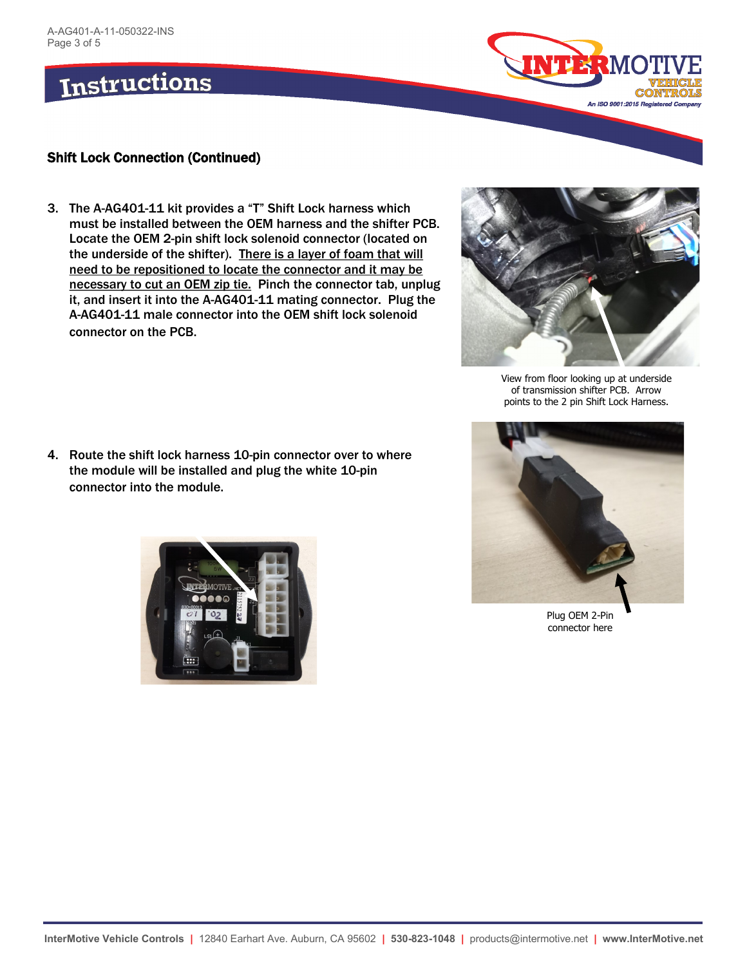

#### Shift Lock Connection (Continued)

3. The A-AG401-11 kit provides a "T" Shift Lock harness which must be installed between the OEM harness and the shifter PCB. Locate the OEM 2-pin shift lock solenoid connector (located on the underside of the shifter). There is a layer of foam that will need to be repositioned to locate the connector and it may be necessary to cut an OEM zip tie. Pinch the connector tab, unplug it, and insert it into the A-AG401-11 mating connector. Plug the A-AG401-11 male connector into the OEM shift lock solenoid connector on the PCB.



View from floor looking up at underside of transmission shifter PCB. Arrow points to the 2 pin Shift Lock Harness.

4. Route the shift lock harness 10-pin connector over to where the module will be installed and plug the white 10-pin connector into the module.





Plug OEM 2-Pin connector here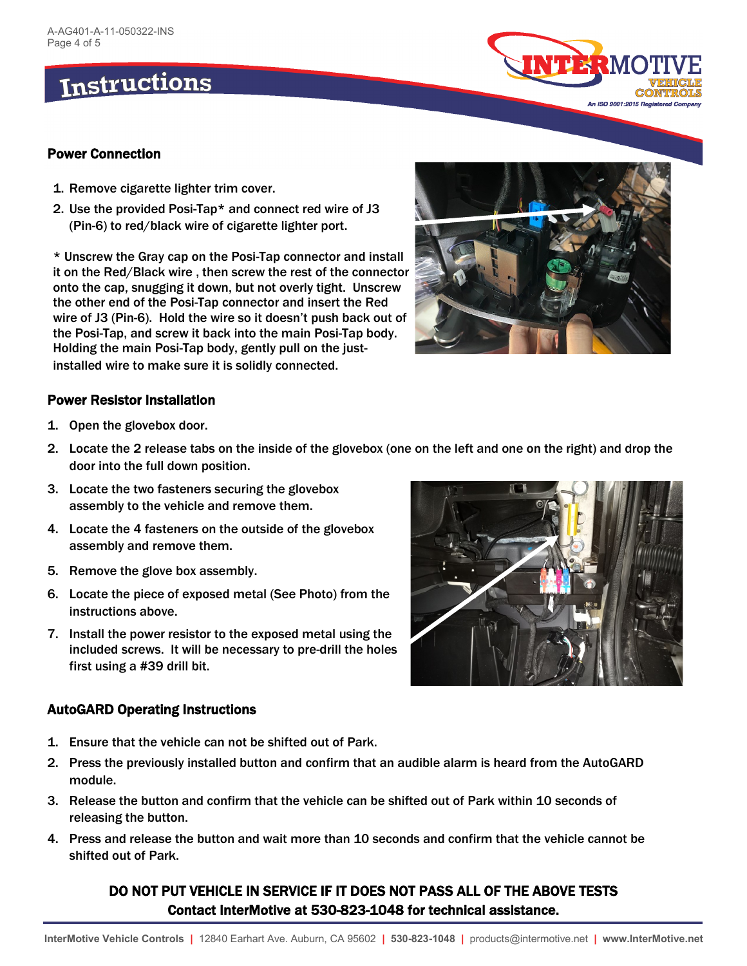

#### Power Connection

- 1. Remove cigarette lighter trim cover.
- 2. Use the provided Posi-Tap\* and connect red wire of J3 (Pin-6) to red/black wire of cigarette lighter port.

\* Unscrew the Gray cap on the Posi-Tap connector and install it on the Red/Black wire , then screw the rest of the connector onto the cap, snugging it down, but not overly tight. Unscrew the other end of the Posi-Tap connector and insert the Red wire of J3 (Pin-6). Hold the wire so it doesn't push back out of the Posi-Tap, and screw it back into the main Posi-Tap body. Holding the main Posi-Tap body, gently pull on the justinstalled wire to make sure it is solidly connected.



#### Power Resistor Installation

- 1. Open the glovebox door.
- 2. Locate the 2 release tabs on the inside of the glovebox (one on the left and one on the right) and drop the door into the full down position.
- 3. Locate the two fasteners securing the glovebox assembly to the vehicle and remove them.
- 4. Locate the 4 fasteners on the outside of the glovebox assembly and remove them.
- 5. Remove the glove box assembly.
- 6. Locate the piece of exposed metal (See Photo) from the instructions above.
- 7. Install the power resistor to the exposed metal using the included screws. It will be necessary to pre-drill the holes first using a #39 drill bit.

#### AutoGARD Operating Instructions

- 1. Ensure that the vehicle can not be shifted out of Park.
- 2. Press the previously installed button and confirm that an audible alarm is heard from the AutoGARD module.
- 3. Release the button and confirm that the vehicle can be shifted out of Park within 10 seconds of releasing the button.
- 4. Press and release the button and wait more than 10 seconds and confirm that the vehicle cannot be shifted out of Park.

## DO NOT PUT VEHICLE IN SERVICE IF IT DOES NOT PASS ALL OF THE ABOVE TESTS Contact InterMotive at 530-823-1048 for technical assistance.